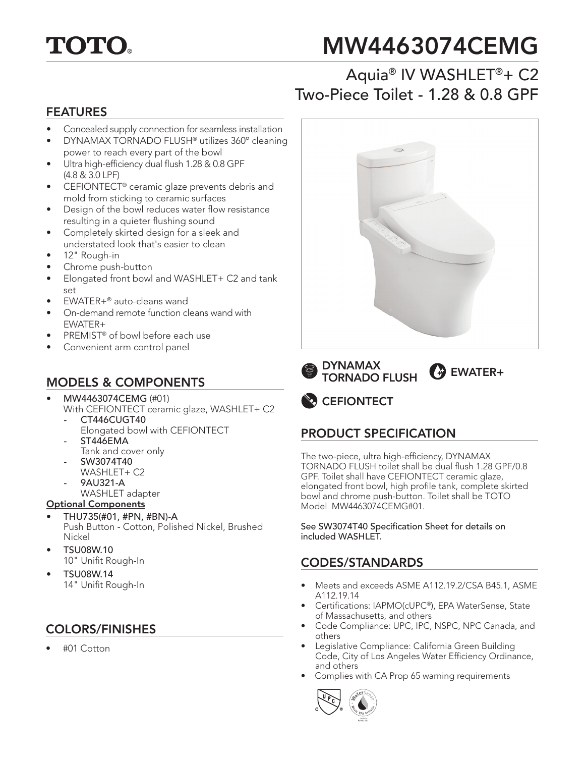

# MW4463074CEMG

## Aquia® IV WASHLET®+ C2 Two-Piece Toilet - 1.28 & 0.8 GPF

#### FEATURES

- Concealed supply connection for seamless installation
- DYNAMAX TORNADO FLUSH® utilizes 360º cleaning power to reach every part of the bowl
- Ultra high-efficiency dual flush 1.28 & 0.8 GPF (4.8 & 3.0 LPF)
- CEFIONTECT® ceramic glaze prevents debris and mold from sticking to ceramic surfaces
- Design of the bowl reduces water flow resistance resulting in a quieter flushing sound
- Completely skirted design for a sleek and understated look that's easier to clean
- 12" Rough-in
- Chrome push-button
- Elongated front bowl and WASHLET+ C2 and tank set
- EWATER+® auto-cleans wand
- On-demand remote function cleans wand with EWATER+
- PREMIST<sup>®</sup> of bowl before each use
- Convenient arm control panel

## MODELS & COMPONENTS

- MW4463074CEMG (#01) With CEFIONTECT ceramic glaze, WASHLET+ C2
	- CT446CUGT40
		- Elongated bowl with CEFIONTECT *-* ST446EMA
	- Tank and cover only
	- SW3074T40
	- WASHLET+ C2 *-* 9AU321-A
	-
	- WASHLET adapter
- Optional Components
- THU735(#01, #PN, #BN)-A Push Button - Cotton, Polished Nickel, Brushed Nickel
- TSU08W.10 10" Unifit Rough-In
- TSU08W.14 14" Unifit Rough-In

#### COLORS/FINISHES

• #01 Cotton



DYNAMAX TORNADO FLUSH **C**<sup>3</sup> EWATER+

**CEFIONTECT** 

### PRODUCT SPECIFICATION

The two-piece, ultra high-efficiency, DYNAMAX TORNADO FLUSH toilet shall be dual flush 1.28 GPF/0.8 GPF. Toilet shall have CEFIONTECT ceramic glaze, elongated front bowl, high profile tank, complete skirted bowl and chrome push-button. Toilet shall be TOTO Model MW4463074CEMG#01.

See SW3074T40 Specification Sheet for details on included WASHLET.

### CODES/STANDARDS

- Meets and exceeds ASME A112.19.2/CSA B45.1, ASME A112.19.14
- Certifications: IAPMO(cUPC®), EPA WaterSense, State of Massachusetts, and others
- Code Compliance: UPC, IPC, NSPC, NPC Canada, and others
- Legislative Compliance: California Green Building Code, City of Los Angeles Water Efficiency Ordinance, and others
- Complies with CA Prop 65 warning requirements